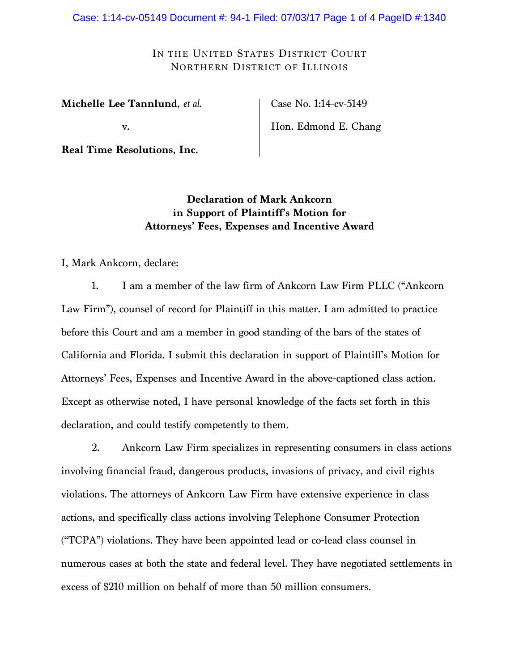Case: 1:14-cv-05149 Document #: 94-1 Filed: 07/03/17 Page 1 of 4 PageID #:1340

IN THE UNITED STATES DISTRICT COURT NORTHERN DISTRICT OF ILLINOIS

**Michelle Lee Tannlund**, *et al*.

v.

**Real Time Resolutions, Inc.**

Case No. 1:14-cv-5149

Hon. Edmond E. Chang

**Declaration of Mark Ankcorn in Support of Plaintiff's Motion for Attorneys' Fees, Expenses and Incentive Award**

I, Mark Ankcorn, declare:

1. I am a member of the law firm of Ankcorn Law Firm PLLC ("Ankcorn Law Firm"), counsel of record for Plaintiff in this matter. I am admitted to practice before this Court and am a member in good standing of the bars of the states of California and Florida. I submit this declaration in support of Plaintiff's Motion for Attorneys' Fees, Expenses and Incentive Award in the above-captioned class action. Except as otherwise noted, I have personal knowledge of the facts set forth in this declaration, and could testify competently to them.

2. Ankcorn Law Firm specializes in representing consumers in class actions involving financial fraud, dangerous products, invasions of privacy, and civil rights violations. The attorneys of Ankcorn Law Firm have extensive experience in class actions, and specifically class actions involving Telephone Consumer Protection ("TCPA") violations. They have been appointed lead or co-lead class counsel in numerous cases at both the state and federal level. They have negotiated settlements in excess of \$210 million on behalf of more than 50 million consumers.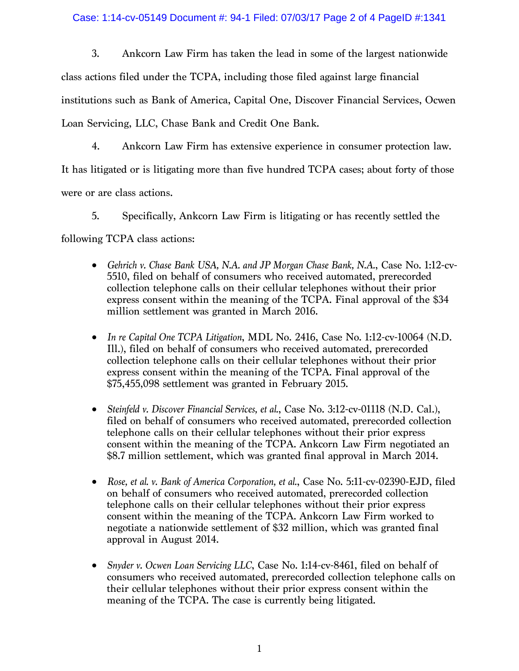## Case: 1:14-cv-05149 Document #: 94-1 Filed: 07/03/17 Page 2 of 4 PageID #:1341

3. Ankcorn Law Firm has taken the lead in some of the largest nationwide class actions filed under the TCPA, including those filed against large financial institutions such as Bank of America, Capital One, Discover Financial Services, Ocwen Loan Servicing, LLC, Chase Bank and Credit One Bank.

4. Ankcorn Law Firm has extensive experience in consumer protection law.

It has litigated or is litigating more than five hundred TCPA cases; about forty of those

were or are class actions.

5. Specifically, Ankcorn Law Firm is litigating or has recently settled the

following TCPA class actions:

- *Gehrich v. Chase Bank USA, N.A. and JP Morgan Chase Bank, N.A.*, Case No. 1:12-cv-5510, filed on behalf of consumers who received automated, prerecorded collection telephone calls on their cellular telephones without their prior express consent within the meaning of the TCPA. Final approval of the \$34 million settlement was granted in March 2016.
- *In re Capital One TCPA Litigation*, MDL No. 2416, Case No. 1:12-cv-10064 (N.D. Ill.), filed on behalf of consumers who received automated, prerecorded collection telephone calls on their cellular telephones without their prior express consent within the meaning of the TCPA. Final approval of the \$75,455,098 settlement was granted in February 2015.
- *Steinfeld v. Discover Financial Services, et al.*, Case No. 3:12-cv-01118 (N.D. Cal.), filed on behalf of consumers who received automated, prerecorded collection telephone calls on their cellular telephones without their prior express consent within the meaning of the TCPA. Ankcorn Law Firm negotiated an \$8.7 million settlement, which was granted final approval in March 2014.
- *Rose, et al. v. Bank of America Corporation, et al.*, Case No. 5:11-cv-02390-EJD, filed on behalf of consumers who received automated, prerecorded collection telephone calls on their cellular telephones without their prior express consent within the meaning of the TCPA. Ankcorn Law Firm worked to negotiate a nationwide settlement of \$32 million, which was granted final approval in August 2014.
- *Snyder v. Ocwen Loan Servicing LLC*, Case No. 1:14-cv-8461, filed on behalf of consumers who received automated, prerecorded collection telephone calls on their cellular telephones without their prior express consent within the meaning of the TCPA. The case is currently being litigated.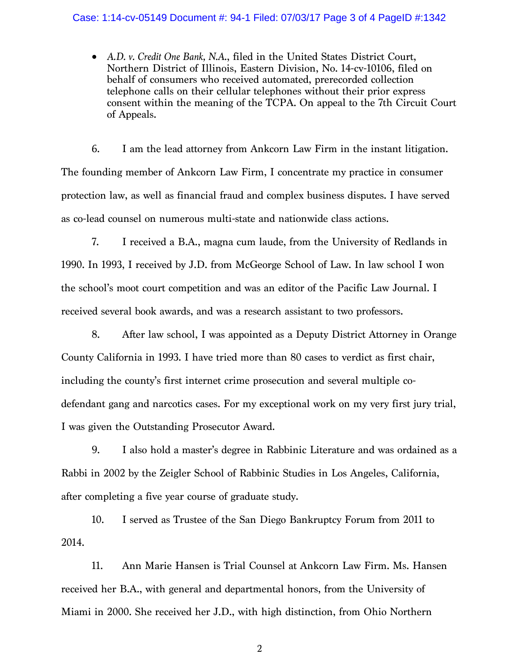## Case: 1:14-cv-05149 Document #: 94-1 Filed: 07/03/17 Page 3 of 4 PageID #:1342

• *A.D. v. Credit One Bank, N.A*., filed in the United States District Court, Northern District of Illinois, Eastern Division, No. 14-cv-10106, filed on behalf of consumers who received automated, prerecorded collection telephone calls on their cellular telephones without their prior express consent within the meaning of the TCPA. On appeal to the 7th Circuit Court of Appeals.

6. I am the lead attorney from Ankcorn Law Firm in the instant litigation. The founding member of Ankcorn Law Firm, I concentrate my practice in consumer protection law, as well as financial fraud and complex business disputes. I have served as co-lead counsel on numerous multi-state and nationwide class actions.

7. I received a B.A., magna cum laude, from the University of Redlands in 1990. In 1993, I received by J.D. from McGeorge School of Law. In law school I won the school's moot court competition and was an editor of the Pacific Law Journal. I received several book awards, and was a research assistant to two professors.

8. After law school, I was appointed as a Deputy District Attorney in Orange County California in 1993. I have tried more than 80 cases to verdict as first chair, including the county's first internet crime prosecution and several multiple codefendant gang and narcotics cases. For my exceptional work on my very first jury trial, I was given the Outstanding Prosecutor Award.

9. I also hold a master's degree in Rabbinic Literature and was ordained as a Rabbi in 2002 by the Zeigler School of Rabbinic Studies in Los Angeles, California, after completing a five year course of graduate study.

10. I served as Trustee of the San Diego Bankruptcy Forum from 2011 to 2014.

11. Ann Marie Hansen is Trial Counsel at Ankcorn Law Firm. Ms. Hansen received her B.A., with general and departmental honors, from the University of Miami in 2000. She received her J.D., with high distinction, from Ohio Northern

2